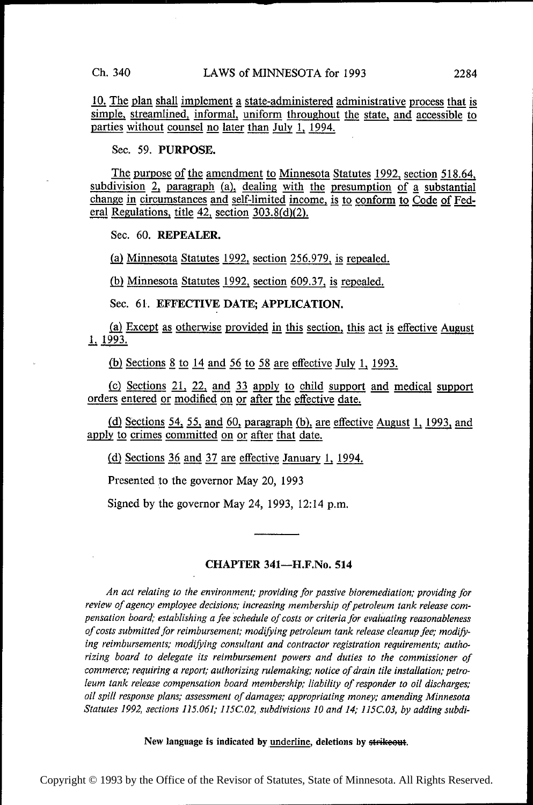10. The plan shall implement a state-administered administrative process that is simple, streamlined, informal, uniform throughout the state, and accessible to parties without counsel no later than July 1, 1994.

Sec. 59. PURPOSE.

The purpose of the amendment to Minnesota Statutes 1992, section 518.64, subdivision 2, paragraph (a), dealing with the presumption of a substantial change in circumstances and self-limited income, is to conform to Code of Federal Regulations, title 42, section  $303.8(d)(2)$ .

Sec. 60. REPEALER.

(a) Minnesota Statutes 1992, section 256.979, is repealed.

(b) Minnesota Statutes 1992, section 609.37, is repealed.

Sec. 61. EFFECTIVE DATE; APPLICATION.

(a) Except as otherwise provided in this section, this act is effective August 1993. Sec. 61. EFFECTIVE DATE; APPLICATION.<br>(a) Except as otherwise provided in this section, this ac<br>1, 1993.

(b) Sections  $8$  to 14 and 56 to 58 are effective July 1, 1993.

 $(c)$  Sections 21, 22, and 33 apply to child support and medical support orders entered or modified on or after the effective date.

(d) Sections 54, 55, and 60, paragraph (b), are effective August 1, 1993, and apply to crimes committed on or after that date.

(d) Sections  $36$  and  $37$  are effective January 1, 1994.

Presented to the governor May 20, 1993

Signed by the governor May 24, 1993, 12:14 p.m.

## CHAPTER 341——H.F.N0. 514

An act relating to the environment; providing for passive bioremediation; providing for review of agency employee decisions; increasing membership of petroleum tank release compensation board; establishing a fee schedule of costs or criteria for evaluating reasonableness of costs submitted for reimbursement; modifying petroleum tank release cleanup fee; modifying reimbursements; modifving consultant and contractor registration requirements; authorizing board to delegate its reimbursement powers and duties to the commissioner of commerce; requiring a report; authorizing rulemaking; notice of drain tile installation; petroleum tank release compensation board membership; liability of responder to oil discharges; oil spill response plans; assessment of damages; appropriating money; amending Minnesota Statutes 1992, sections 115.061; 1I5C.02, subdivisions I0 and I4; 115C.03, by adding subdi-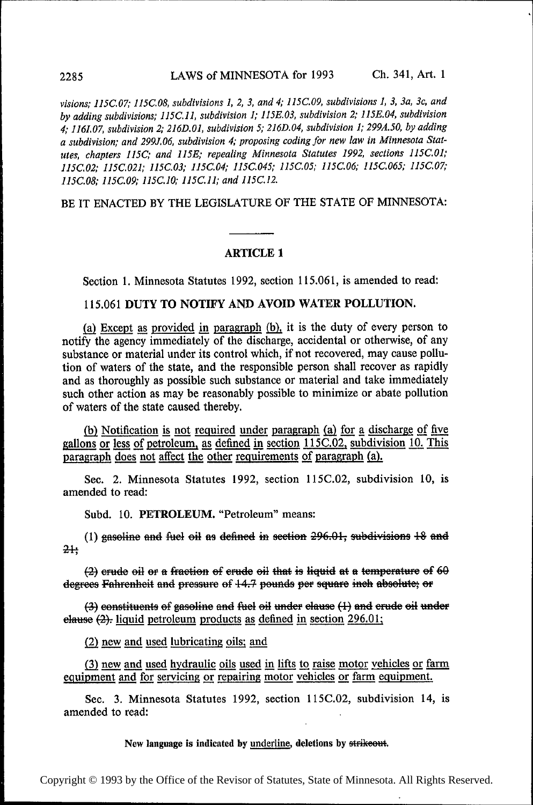visions; 115C.07; 1I5C.08, subdivisions 1, 2, 3, and 4; II5C.09, subdivisions 1, 3, 3a, 3c, and by adding subdivisions; I15C.11, subdivision 1; 1J5E.03, subdivision 2; 1I5E.04, subdivision 4; 1161.07, subdivision 2; 216D.01, subdivision 5; 216D.04, subdivision 1; 299A.50, by adding a subdivision; and 299J.06, subdivision 4; proposing coding for new law in Minnesota Statutes, chapters 115C; and 115E; repealing Minnesota Statutes 1992, sections 115C.01,' J15C.02; II5C.021,' 115C.03; I15C.04; 1I5C.045; 1I5C.05; 115C.06; I15C.065; 115C.07; II5C.08; II5C.09; 1J5C.10; I15C.I1; and 115C.I2.

BE IT ENACTED BY THE LEGISLATURE OF THE STATE OF MINNESOTA:

## ARTICLE <sup>1</sup>

Section 1. Minnesota Statutes 1992, section 115.061, is amended to read:

## 115.061 DUTY TO NOTIFY AND AVOID WATER POLLUTION.

(a) Except as provided in paragraph (b), it is the duty of every person to notify the agency immediately of the discharge, accidental or otherwise, of any substance or material under its control which, if not recovered, may cause pollution of waters of the state, and the responsible person shall recover as rapidly and as thoroughly as possible such substance or material and take immediately such other action as may be reasonably possible to minimize or abate pollution of waters of the state caused thereby.

(b) Notification is not required under paragraph (a) for a discharge of five gallons or less of petroleum, as defined in section 115C.02, subdivision 10. This paragraph does not affect the other requirements of paragraph (a).

Sec. 2. Minnesota Statutes 1992, section l15C.02, subdivision 10, is amended to read:

Subd. 10. PETROLEUM. "Petroleum" means:

(1) gaseline and fuel oil as defined in section  $296.01$ , subdivisions  $18$  and  $2 +$ 

 $(2)$  erude oil or a fraction of erude oil that is liquid at a temperature of 60 degrees Fahrenheit and pressure of 14.7 pounds per square inch absolute; or

(3) eenstituents of gasoline and fuel oil under elause (1) and erude oil under elause  $(2)$ . liquid petroleum products as defined in section 296.01;

 $(2)$  new and used lubricating oils; and

(3) new and used hydraulic oils used in lifts to raise motor vehicles or farm equipment and for servicing or repairing motor vehicles or farm equipment.

Sec. 3. Minnesota Statutes 1992, section l15C.02, subdivision 14, is amended to read: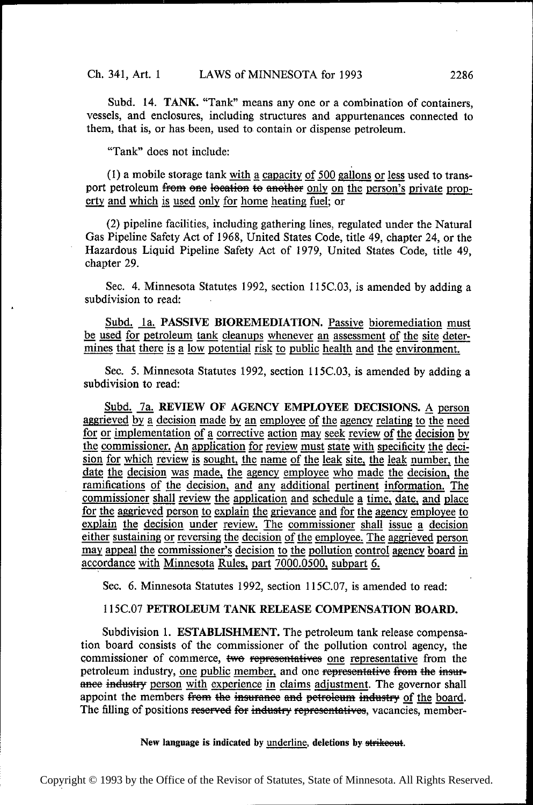Subd. l4. TANK. "Tank" means any one or a combination of containers, vessels, and enclosures, including structures and appurtenances connected to them, that is, or has been, used to. contain or dispense petroleum.

"Tank" does not include:

(1) a mobile storage tank <u>with a capacity of 500 gallons or less</u> used to trans-<br>port petroleum <del>from one location to another</del> only on the person's private property and which is used only for home heating fuel; or

(2) pipeline facilities, including gathering lines, regulated under the Natural Gas Pipeline Safety Act of 1968, United States Code, title 49, chapter 24, or the Hazardous Liquid Pipeline Safety Act of 1979, United States Code, title 49, chapter 29.

Sec. 4. Minnesota Statutes 1992, section 115C.03, is amended by adding a subdivision to read:

Subd. 1a. PASSIVE BIOREMEDIATION. Passive bioremediation must be used for petroleum tank cleanups whenever an assessment of the site determines that there is a low potential risk to public health and the environment.

Sec. 5. Minnesota Statutes 1992, section 115C.03, is amended by adding a subdivision to read:

Subd. 7a. REVIEW OF AGENCY EMPLOYEE DECISIONS. A person aggrieved by a decision made by an employee of the agency relating to the need for or implementation of a corrective action may seek review of the decision by the commissioner. An application for review must state with specificity the decision for which review is sought, the name of the leak site, th the commissioner. An application for review must state with specificity the decidate the decision was made, the agency employee who made the decision, the ramifications of the decision, and any additional pertinent information. The ramifications of the decision, and any additional pertinent information. The commissioner shall review the application and schedule a time, date, and place for the aggrieved person to explain the grievance and for the agency employee to explain the decision under review. The commissioner shall issue a decision For the aggrieved person to explain the grievance and for the agency employee to explain the decision under review. The commissioner shall issue a decision either sustaining or reversing the decision to the pollution can may appeal the commissioner's decision to the pollution control agency board in accordance with Minnesota Rules, part 7000.0500, subpart 6.

Sec. 6. Minnesota Statutes 1992, section 115C.07, is amended to read:

#### l15C.O7 PETROLEUM TANK RELEASE COMPENSATION BOARD.

Subdivision 1. ESTABLISHMENT. The petroleum tank release compensation board consists of the commissioner of the pollution control agency, the commissioner of commerce, two representatives one representative from the petroleum industry, one public member, and one representative from the insurpetroleum industry, <u>one public member</u>, and one <del>representative from the insur-<br>ance industry person with experience in claims adjustment. The governor shall</del> appoint the members from the insurance and petroleum industry of the board. The filling of positions reserved for industry representatives, vacancies, member-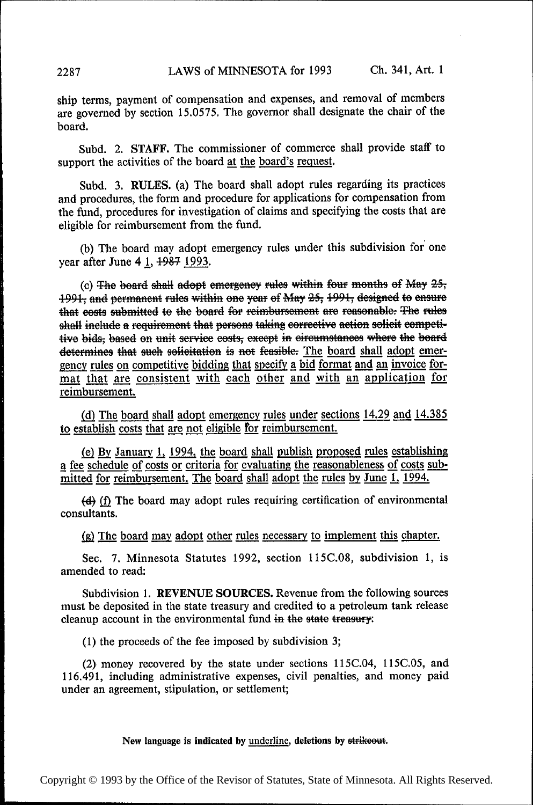ship terms, payment of compensation and expenses, and removal of members are governed by section 15.0575. The governor shall designate the chair of the board.

Subd. 2. STAFF. The commissioner of commerce shall provide staff to support the activities of the board at the board's request.

Subd. 3. RULES. (a) The board shall adopt rules regarding its practices and procedures, the form and procedure for applications for compensation from the fund, procedures for investigation of claims and specifying the costs that are eligible for reimbursement from the fund.

(b) The board may adopt emergency rules under this subdivision for one year after June 4 1,  $\frac{1987}{1993}$ .

(c) The board shall adopt emergency rules within four months of May  $25$ ; +991; and permanent rules within one year of May 25; 1991, designed to ensure that eosts submitted to the board for reimbursement are reasonable. The rules shall include a requirement that persons taking corrective action solicit competitive bids; based on unit service eosts; except in circumstances where the board determines that such solicitation is not feasible. The board shall adopt emergency rules on competitive bidding that specify a bid format and an invoice format that are consistent with each other and with an application for reimbursement.

(d) The board shall adopt emergency rules under sections 14.29 and 14.385 to establish costs that are not eligible for reimbursement.

(e) By January 1, 1994, the board shall publish proposed rules establishing a fee schedule of costs or criteria for evaluating the reasonableness of costs submitted for reimbursement. The board shall adopt the rules by June 1, 1994.

(d) (f) The board may adopt rules requiring certification of environmental consultants.

 $(g)$  The board may adopt other rules necessary to implement this chapter.

Sec. 7. Minnesota Statutes 1992, section 115C.08, subdivision 1, is amended to read:

Subdivision 1. REVENUE SOURCES. Revenue from the following sources must be deposited in the state treasury and credited to a petroleum tank release cleanup account in the environmental fund in the state treasury:

(1) the proceeds of the fee imposed by subdivision 3;

(2) money recovered by the state under sections 115C.O4, 115C.05, and 116.491, including administrative expenses, civil penalties, and money paid under an agreement, stipulation, or settlement;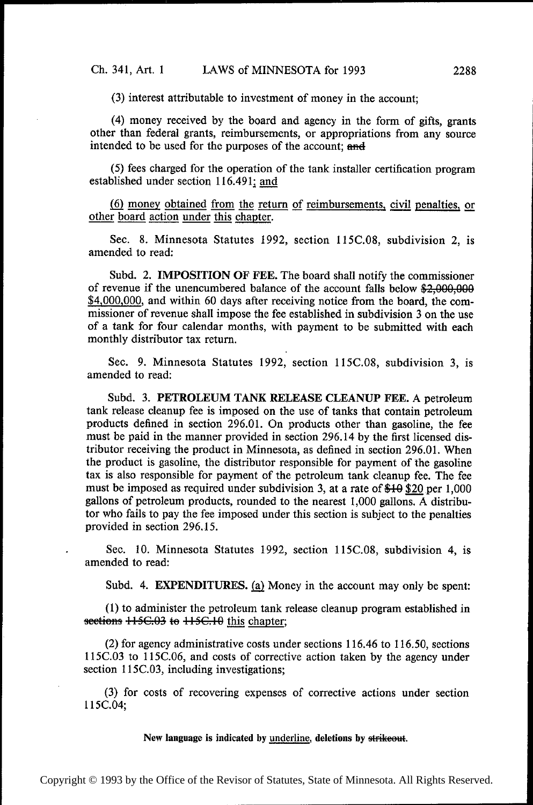(3) interest attributable to investment of money in the account;

(4) money received by the board and agency in the form of gifts, grants other than federal grants, reimbursements, or appropriations from any source intended to be used for the purposes of the account; and

(5) fees charged for the operation of the tank installer certification program established under section 116.491; and

(6) money obtained from the return of reimbursements, civil penalties, or other board action under this chapter.

Sec. 8. Minnesota Statutes 1992, section 115C.O8, subdivision 2, is amended to read:

Subd. 2. IMPOSITION OF FEE. The board shall notify the commissioner of revenue if the unencumbered balance of the account falls below  $\frac{$2,000,000}{2}$ \$4,000,000, and within 60 days after receiving notice from the board, the commissioner of revenue shall impose the fee established in subdivision 3 on the use of a tank for four calendar months, with payment to be submitted with each monthly distributor tax return.

Sec. 9. Minnesota Statutes 1992, section 115C.O8, subdivision 3, is amended to read:

Subd. 3. PETROLEUM TANK RELEASE CLEANUP FEE. A petroleum tank release cleanup fee is imposed on the use of tanks that contain petroleum products defined in section 296.01. On products other than gasoline, the fee must be paid in the manner provided in section 296.14 by the first licensed distributor receiving the product in Minnesota, as defined in section 296.01. When the product is gasoline, the distributor responsible for payment of the gasoline tax is also responsible for payment of the petroleum tank cleanup fee. The fee must be imposed as required under subdivision 3, at a rate of  $$10\,$  \$20 per 1,000 gallons of petroleum products, rounded to the nearest 1,000 gallons. A distributor who fails to pay the fee imposed under this section is subject to the penalties provided in section 296.15.

Sec. 10. Minnesota Statutes 1992, section 115C.O8, subdivision 4, is amended to read:

Subd. 4. EXPENDITURES. (a) Money in the account may only be spent:

(1) to administer the petroleum tank release cleanup program established in sections  $+15C.03$  to  $+15C.19$  this chapter;

(2) for agency administrative costs under sections 116.46 to 116.50, sections 115C.O3 to 115C.O6, and costs of corrective action taken by the agency under section 115C.03, including investigations;

(3) for costs of recovering expenses of corrective actions under section 115C.04;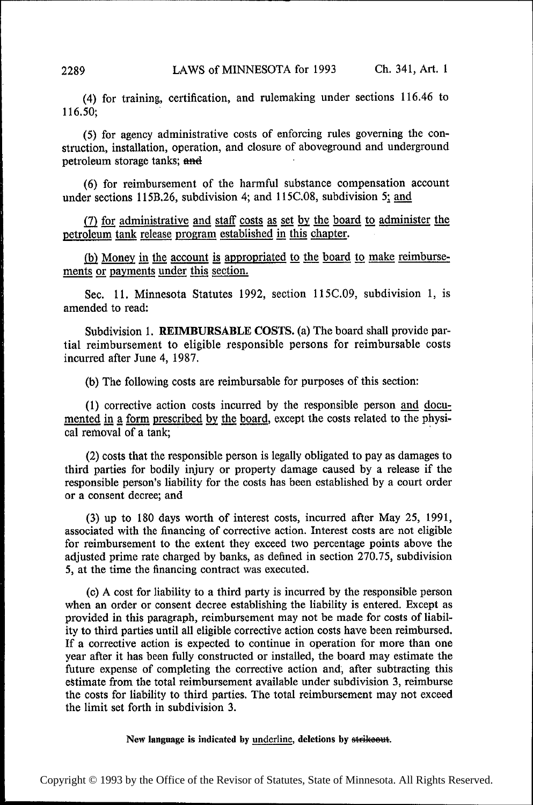(4) for training, certification, and rulemaking under sections 116.46 to 116.50; '

(5) for agency administrative costs of enforcing rules governing the construction, installation, operation, and closure of aboveground and underground petroleum storage tanks; and

(6) for reimbursement of the harmful substance compensation account under sections 115B.26, subdivision 4; and  $115C.08$ , subdivision 5; and

 $(7)$  for administrative and staff costs as set by the board to administer the petroleum tank release program established in this chapter.

(b) Money in the account is appropriated to the board to make reimbursements or payments under this section.

See. 11. Minnesota Statutes 1992, section l15C.09, subdivision 1, is amended to read:

Subdivision 1. REIMBURSABLE COSTS. (a) The board shall provide partial reimbursement to eligible responsible persons for reimbursable costs incurred after June 4, 1987.

(b) The following costs are reimbursable for purposes of this section:

(1) corrective action costs incurred by the responsible person and docu-<br>mented in a form prescribed by the board, except the costs related to the physical removal of a tank;

(2) costs that the responsible person is legally obligated to pay as damages to third parties for bodily injury or property damage caused by a release if the responsible person's liability for the costs has been established by a court order or a consent decree; and

(3) up to 180 days worth of interest costs, incurred after May 25, 1991, associated with the financing of corrective action. Interest costs are not eligible for reimbursement to the extent they exceed two percentage points above the adjusted prime rate charged by banks, as defined in section 270.75, subdivision 5, at the time the financing contract was executed.

(c) A cost for liability to a third party is incurred by the responsible person when an order or consent decree establishing the liability is entered. Except as provided in this paragraph, reimbursement may not be made for costs of liability to third parties until all eligible corrective action costs have been reimbursed. If a corrective action is expected to continue in operation for more than one year after it has been fully constructed or installed, the board may estimate the future expense of completing the corrective action and, after subtracting this estimate from the total reimbursement available under subdivision 3, reimburse the costs for liability to third parties. The total reimbursement may not exceed the limit set forth in subdivision 3.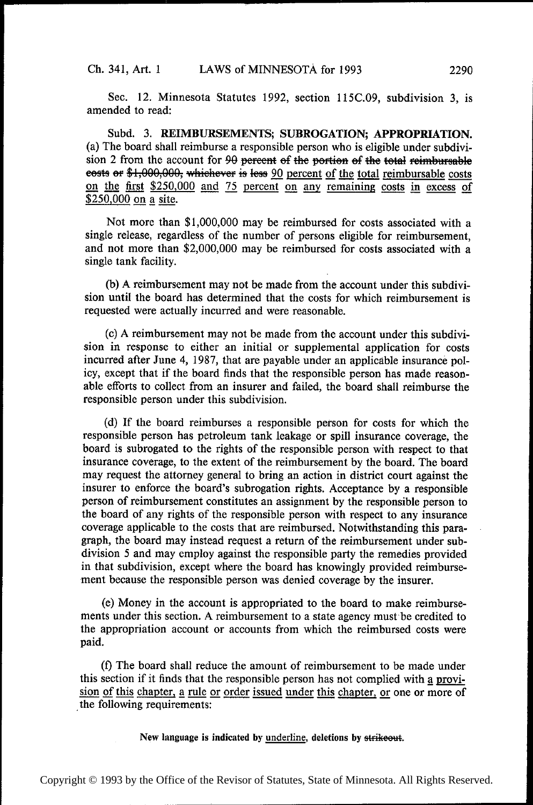Sec. 12. Minnesota Statutes 1992, section 1l5C.09, subdivision 3, is amended to read:

Subd. 3. REIMBURSEMENTS; SUBROGATION; APPROPRIATION. (a) The board shall reimburse a responsible person who is eligible under subdivision 2 from the account for 90 pereent of the portion of the total reimbursable eests or \$1,000,000, whichever is less 90 percent of the total reimbursable costs on the first  $$250,000$  and 75 percent on any remaining costs in excess of  $$250,000$  on a site.

Not more than \$1,000,000 may be reimbursed for costs associated with a single release, regardless of the number of persons eligible for reimbursement, and not more than \$2,000,000 may be reimbursed for costs associated with a single tank facility.

(b) A reimbursement may not be made from the account under this subdivision until the board has determined that the costs for which reimbursement is requested were actually incurred and were reasonable.

(c) A reimbursement may not be made from the account under this subdivision in response to either an initial or supplemental application for costs incurred after June 4, 1987, that are payable under an applicable insurance policy, except that if the board finds that the responsible person has made reasonable efforts to collect from an insurer and failed, the board shall reimburse the responsible person under this subdivision.

((1) If the board reimburses a responsible person for costs for which the responsible person has petroleum tank leakage or spill insurance coverage, the board is subrogated to the rights of the responsible person with respect to that insurance coverage, to the extent of the reimbursement by the board. The board may request the attorney general to bring an action in district court against the insurer to enforce the board's subrogation rights. Acceptance by a responsible person of reimbursement constitutes an assignment by the responsible person to the board of any rights of the responsible person with respect to any insurance coverage applicable to the costs that are reimbursed. Notwithstanding this paragraph, the board may instead request a return of the reimbursement under subdivision 5 and may employ against the responsible party the remedies provided in that subdivision, except where the board has knowingly provided reimburse ment because the responsible person was denied coverage by the insurer.

(e) Money in the account is appropriated to the board to make reimbursements under this section. A reimbursement to a state agency must be credited to the appropriation account or accounts from which the reimbursed costs were paid.

(I) The board shall reduce the amount of reimbursement to be made under this section if it finds that the responsible person has not complied with a provision of this chapter, a rule or order issued under this chapter, or one or more of the following requirements: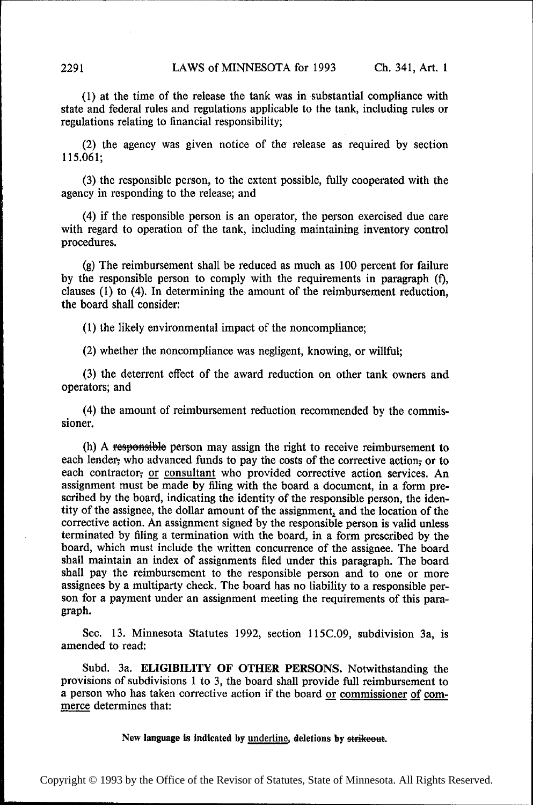(1) at the time of the release the tank was in substantial compliance with state and federal rules and regulations applicable to the tank, including rules or regulations relating to financial responsibility;

(2) the agency was given notice of the release as required by section 115.061;

(3) the responsible person, to the extent possible, fully cooperated with the agency in responding to the release; and

(4) if the responsible person is an operator, the person exercised due care with regard to operation of the tank, including maintaining inventory control procedures.

(g) The reimbursement shall be reduced as much as 100 percent for failure by the responsible person to comply with the requirements in paragraph (f), clauses (1) to (4). In determining the amount of the reimbursement reduction, the board shall consider:

(1) the likely environmental impact of the noncompliance;

(2) whether the noncompliance was negligent, knowing, or willful;

(3) the deterrent effect of the award reduction on other tank owners and operators; and

(4) the amount of reimbursement reduction recommended by the commissioner.

(h) A responsible person may assign the right to receive reimbursement to each lender; who advanced funds to pay the costs of the corrective action; or to each contractor, or consultant who provided corrective action services. An assignment must be made by filing with the board a document, in a form prescribed by the board, indicating the identity of the responsible person, the identity of the assignee, the dollar amount of the assignment, and the location of the corrective action. An assignment signed by the responsible person is valid unless terminated by filing a termination with the board, in a form prescribed by the board, which must include the written concurrence of the assignee. The board shall maintain an index of assignments filed under this paragraph. The board shall pay the reimbursement to the responsible person and to one or more assignees by a multiparty check. The board has no liability to a responsible person for a payment under an assignment meeting the requirements of this paragraph.

Sec. 13. Minnesota Statutes 1992, section 115C.09, subdivision 3a, is amended to read:

Subd. 3a. ELIGIBILITY OF OTHER PERSONS. Notwithstanding the provisions of subdivisions 1 to 3, the board shall provide full reimbursement to a person who has taken corrective action if the board or commissioner of commerce determines that: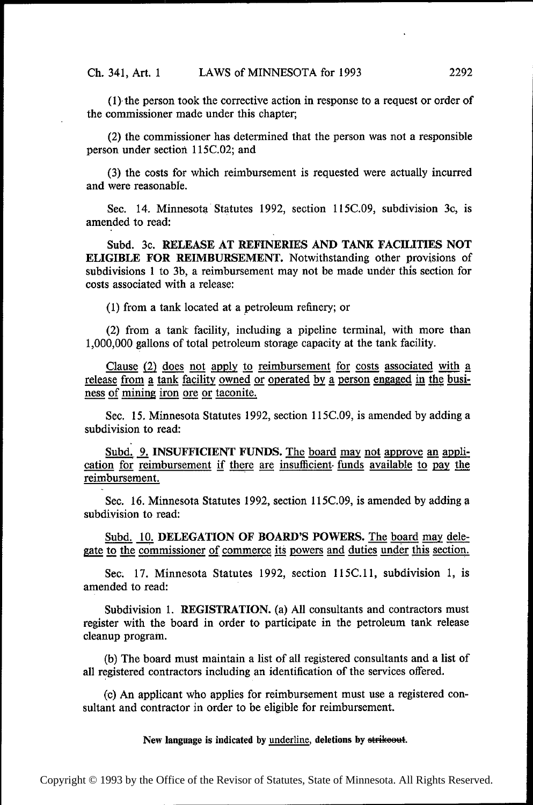$(1)$  the person took the corrective action in response to a request or order of the commissioner made under this chapter;

(2) the commissioner has determined that the person was not a responsible person under section l15C.02; and

(3) the costs for which reimbursement is requested were actually incurred and were reasonable.

Sec. 14. Minnesota Statutes 1992, section 115C.09, subdivision 3c, is amended to read:

Subd. 3c. RELEASE AT REFINERIES AND TANK FACILITIES NOT ELIGIBLE FOR REIMBURSEMENT. Notwithstanding other provisions of subdivisions 1 to 3b, a reimbursement may not be made under this section for costs associated with a release:

(1) from a tank located at a petroleum refinery; or

(2) from a tank facility, including a pipeline terminal, with more than 1,000,000 gallons of total petroleum storage capacity at the tank facility.

Clause  $(2)$  does not apply to reimbursement for costs associated with  $a$ release from a tank facility owned or operated by a person engaged in the business of mining iron ore or taconite.

Sec. 15. Minnesota Statutes 1992, section 115C.O9, is amended by adding a subdivision to read:

Subd. 9. INSUFFICIENT FUNDS. The board may not approve an application for reimbursement if there are insufficient- funds available to pay the reimbursement.

Sec. 16. Minnesota Statutes 1992, section 115C.09, is amended by adding a subdivision to read:

Subd. 10. DELEGATION OF BOARD'S POWERS. The board may dele-<br>to the commissioner of commerce its powers and duties under this section. gate to the commissioner of commerce its powers and duties under this section.

Sec. 17. Minnesota Statutes 1992, section 115C.11, subdivision 1, is amended to read:

Subdivision 1. REGISTRATION. (a) All consultants and contractors must register with the board in order to participate in the petroleum tank release cleanup program.

(b) The board must maintain a list of all registered consultants and a list of all registered contractors including an identification of the services offered.

(c) An applicant who applies for reimbursement must use a registered consultant and contractor in order to be eligible for reimbursement.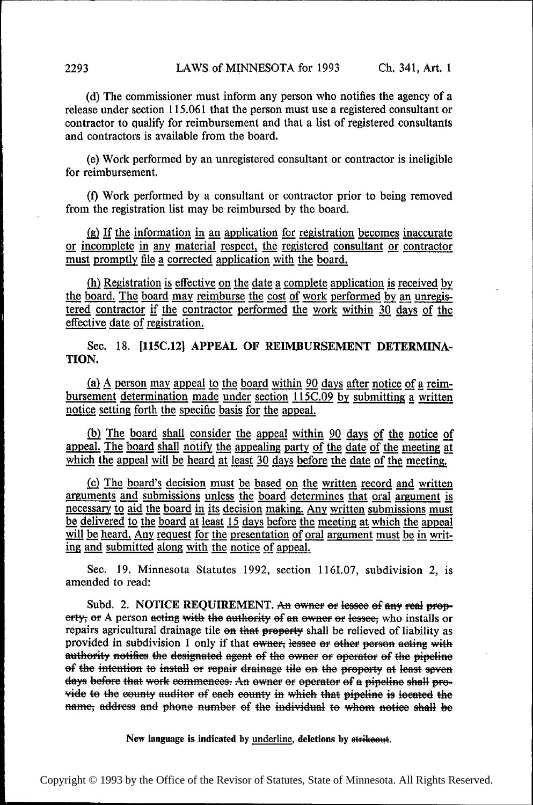(d) The commissioner must inform any person who notifies the agency of a release under section 115.061 that the person must use a registered consultant or contractor to qualify for reimbursement and that a list of registered consultants and contractors is available from the board.

(e) Work performed by an unregistered consultant or contractor is ineligible for reimbursement.

(f) Work performed by a consultant or contractor prior to being removed from the registration list may be reimbursed by the board.

 $(g)$  If the information in an application for registration becomes inaccurate or incomplete in any material respect, the registered consultant or contractor must promptly file a corrected application with the board.

 $(h)$  Registration is effective on the date a complete application is received by the board. The board may reimburse the cost of work performed by an unregistered contractor if the contractor performed the work within 30 days of the effective date of registration.

Sec. 18. [115C.12] APPEAL OF REIMBURSEMENT DETERMINA-TION.

(a)  $\Delta$  person may appeal to the board within 90 days after notice of a reimbursement determination made under section 115C.09 by submitting a written notice setting forth the specific basis for the appeal.

(b) The board shall consider the appeal within  $90$  days of the notice of appeal. The board shall notify the appealing party of the date of the meeting at which the appeal will be heard at least 30 days before the date of the meeting.

(c) The board's decision must be based on the written record and written arguments and submissions unless the board determines that oral argument is necessary to aid the board in its decision making. Any written submissions must be delivered to the board at least 15 days before the meeting at which the appeal will be heard. Any request for the presentation of ing and submitted along with the notice of appeal. extra at least 15 days before the meeting at which the appeal<br>is for the presentation of oral argument must be in writ-<br>with the notice of appeal.

See. 19. Minnesota Statutes 1992, section 1161.07, subdivision 2, is amended to read:

Subd. 2. NOTICE REQUIREMENT. An owner or lessee of any real property; or A person acting with the authority of an owner or lessee; who installs or repairs agricultural drainage tile on that property shall be relieved of liability as provided in subdivision 1 only if that owner, lessee or other person acting with authority notifies the designated agent of the owner or operator of the pipeline of the intention to install or repair drainage tile on the property at least seven days before that work commences. An owner or operator of a pipeline shall provide to the county auditor of each county in which that pipeline is located the name; address and phone number of the individual to whom notice shall be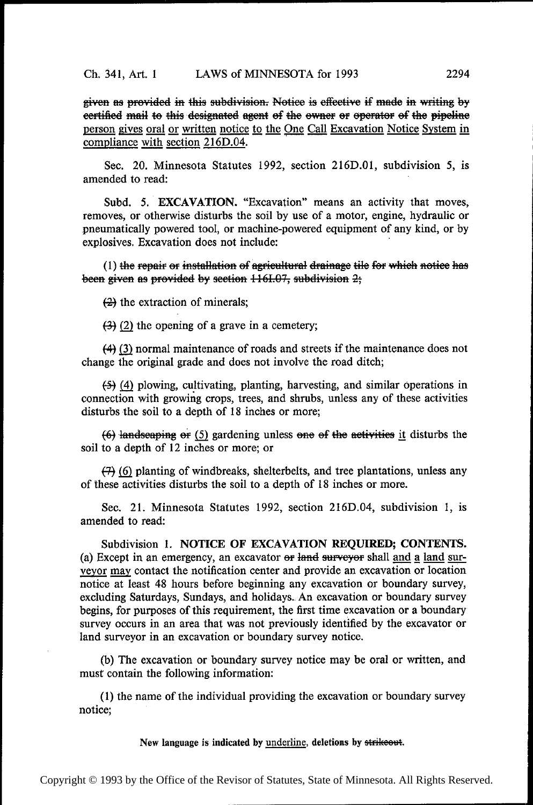given as provided in this subdivision. Notice is effective if made in writing by eertified mail to this designated agent of the owner or operator of the pipeline person gives oral or written notice to the One Call Excavation Notice System in compliance with section 216D.04.

Sec. 20. Minnesota Statutes 1992, section 2l6D.01, subdivision 5, is amended to read:

Subd. 5. EXCAVATION. "Excavation" means an activity that moves, removes, or otherwise disturbs the soil by use of a motor, engine, hydraulic or pneumatically powered tool, or machine-powered equipment of any kind, or by explosives. Excavation does not include: '

 $(1)$  the repair or installation of agricultural drainage tile for which notice has been given as provided by section  $116I.07$ , subdivision  $2$ ;

 $(2)$  the extraction of minerals;

 $(3)$  (2) the opening of a grave in a cemetery;

 $(4)$  (3) normal maintenance of roads and streets if the maintenance does not change the original grade and does not involve the road ditch;

(59 (3) plowing, cultivating, planting, harvesting, and similar operations in connection with growing crops, trees, and shrubs, unless any of these activities disturbs the soil to a depth of 18 inches or more;

 $(6)$  landscaping or (5) gardening unless one of the activities it disturbs the soil to a depth of 12 inches or more; or

 $(7)$  (6) planting of windbreaks, shelterbelts, and tree plantations, unless any of these activities disturbs the soil to a depth of 18 inches or more.

Sec. 21. Minnesota Statutes 1992, section 216D.04, subdivision 1, is amended to read:

Subdivision 1. NOTICE OF EXCAVATION REQUIRED; CONTENTS. (a) Except in an emergency, an excavator  $\Theta$  and  $\Theta$  surveyor shall and a land surveyor may contact the notification center and provide an excavation or location notice at least 48 hours before beginning any excavation or boundary survey, excluding Saturdays, Sundays, and holidays.. An excavation or boundary survey begins, for purposes of this requirement, the first time excavation or a boundary survey occurs in an area that was not previously identified by the excavator or land surveyor in an excavation or boundary survey notice.

(b) The excavation or boundary survey notice may be oral or written, and must contain the following information:

(1) the name of the individual providing the excavation or boundary survey notice;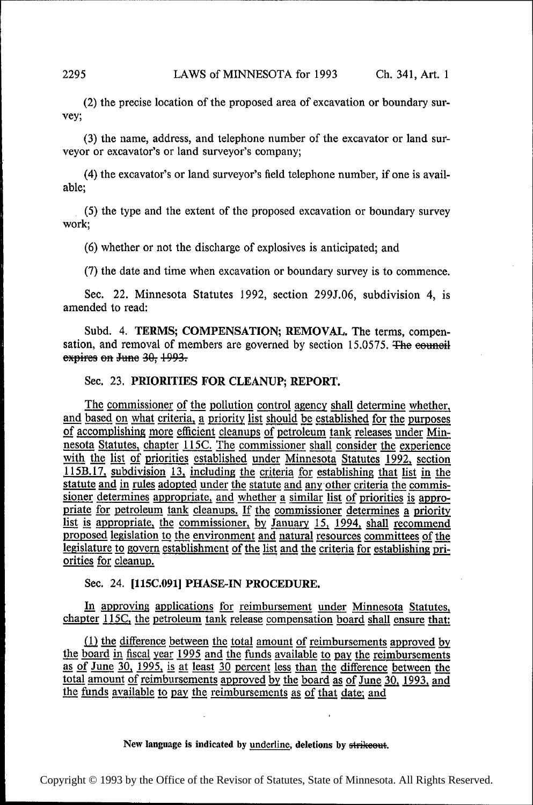(2) the precise location of the proposed area of excavation or boundary survey;

(3) the name, address, and telephone number of the excavator or land surveyor or excavator's or land surveyor's company;

(4) the excavator's or land surveyor's field telephone number, if one is available;

(5) the type and the extent of the proposed excavation or boundary survey work;

(6) whether or not the discharge of explosives is anticipated; and

(7) the date and time when excavation or boundary survey is to commence.

Sec. 22. Minnesota Statutes 1992, section 299J.06, subdivision 4, is amended to read:

Subd. 4. TERMS; COMPENSATION; REMOVAL. The terms, compensation, and removal of members are governed by section  $15.0575$ . The equilibration, expires on June 30, 1993.

## Sec. 23. PRIORITIES FOR CLEANUP; REPORT.

The commissioner of the pollution control agency shall determine whether, and based on what criteria, a priority list should be established for the purposes of accomplishing more efficient cleanups of petroleum tank releas pf accomplishing more efficient cleanups of petroleum tank releases under Minnesota Statutes, chapter 115C. The commissioner shall consider the experience<br>with the list of priorities established under Minneasta Statutes 1993, section with the list of priorities established under Minnesota Statutes 1992, section 115B.17, subdivision 13, including the criteria for establishing that list in the statute and in rules adopted under the statute and any other criteria the commissioner determines appropriate, and whether a similar list of priorities is appropriate for petroleum tank cleanups. If the commissioner determines a priority list is appropriate, the commissioner, by January 15, 1994, shall recommend proposed legislation to the environment and natural resources committees of the legislature to govern establishment of the list and the criteria for establishing priorities for cleanup.

## Sec. 24. [115C.091] PHASE-IN PROCEDURE.

In approving applications for reimbursement under Minnesota Statutes, chapter 115C, the petroleum tank release compensation board shall ensure that:

 $(1)$  the difference between the total amount of reimbursements approved by the board in fiscal year 1995 and the funds available to pay the reimbursements as of June 30, 1995, is at least 30 percent less than the difference between the total amount of reimbursements approved by the board as of June 30, 1993, and the funds available to pay the reimbursements as of that date; and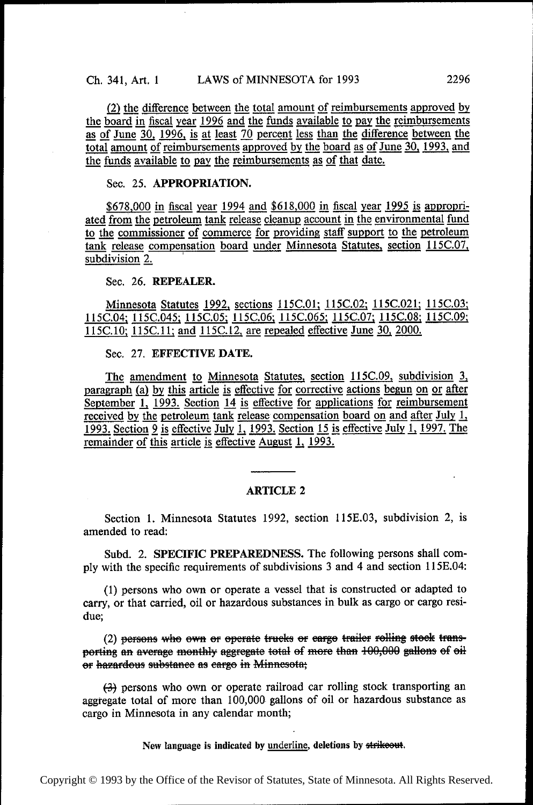(2) the difference between the total amount of reimbursements approved by the board in fiscal year  $1996$  and the funds available to pay the reimbursements the board in fiscal year 1996 and the funds available to pay the reimbursements<br>as of June 30, 1996, is at least 70 percent less than the difference between the<br>total amount of reimbursements approved by the board as of Ju the funds available to pay the reimbursements as of that date.

## Sec. 25. APPROPRIATION.

\$678,000 in fiscal year 1994 and \$618,000 in fiscal year 1995 is appropriated from the petroleum tank release cleanup account in the environmental fund to the commissioner of commerce for providing staff support to the pet tank release compensation board under Minnesota Statutes, section 115C.07, subdivision 2.

## Sec. 26. REPEALER.

Minnesota Statutes 1992, sections 115C.01; 115C.02; 115C.021; 115C.03; ll5C.04; l15C.045; ll5C.O5; ll5C.06; ll5C.O65; ll5C.07; ll5C.08; ll5C.O9; 115C.10; 115C.11; and 115C.12, are repealed effective June 30, 2000.

#### Sec. 27. EFFECTIVE DATE.

The amendment to Minnesota Statutes, section 115C.09, subdivision  $\frac{3}{2}$ , paragraph (a) by this article is effective for corrective actions begun on or after  $\frac{1}{2}$  paragraph (a) by this article is effective for corrective actions begun on or after<br>September 1, 1993, Section 14 is effective for applications for reimbursement September 1,  $\frac{1993}{1993}$ . Section  $\frac{14}{14}$  is effective for applications for reimbursement received by the petroleum tank release compensation board on and after July 1, 1993. Section 9 is effective July 1, 1993. Section 15 is effective July 1, 1997. The remainder of this article is effective August 1, 1993. 1993. Section 9 is effective July 1, 1993. Section 15 is effective July 1, 1997. The

#### ARTICLE <sup>2</sup>

Section 1. Minnesota Statutes 1992, section 115E.03, subdivision 2, is amended to read:

Subd. 2. SPECIFIC PREPAREDNESS. The following persons shall comply with the specific requirements of subdivisions 3 and 4 and section 1l5E.04:

(1) persons who own or operate a vessel that is constructed or adapted to carry, or that carried, oil or hazardous substances in bulk as cargo or cargo residue;

(2) persons who own or operate trucks or earge trailer rolling stock transporting an average monthly aggregate total of more than  $100,000$  gallons of oil er hazardous substance as cargo in Minnesota;

(-3) persons who own or operate railroad car rolling stock transporting an aggregate total of more than 100,000» gallons of oil or hazardous substance as cargo in Minnesota in any calendar month;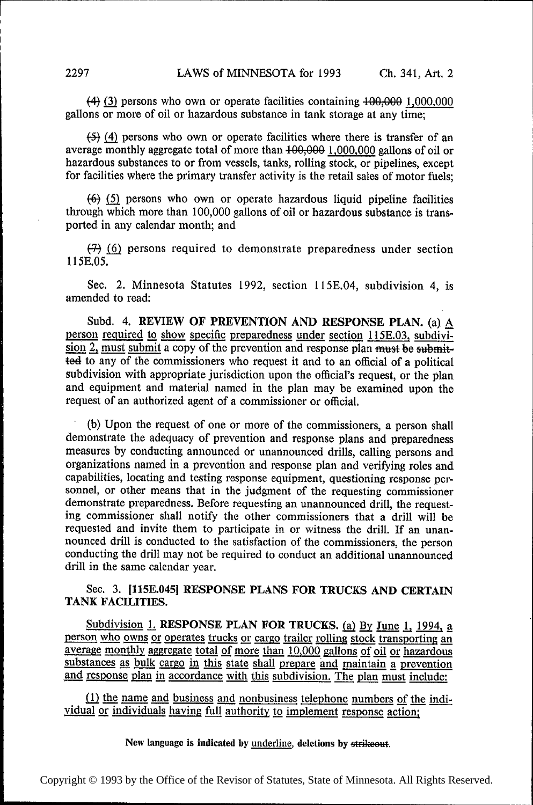$(4)$  (3) persons who own or operate facilities containing  $+00,000$  1,000,000 gallons or more of oil or hazardous substance in tank storage at any time;

 $(5)$  (4) persons who own or operate facilities where there is transfer of an average monthly aggregate total of more than  $+00,000$  1,000,000 gallons of oil or hazardous substances to or from vessels, tanks, rolling stock, or pipelines, except for facilities where the primary transfer activity is the retail sales of motor fuels;

 $(6)$  (5) persons who own or operate hazardous liquid pipeline facilities through which more than 100,000 gallons of oil or hazardous substance is transported in any calendar month; and

 $(7)$  (6) persons required to demonstrate preparedness under section 1l5E.05.

Sec. 2. Minnesota Statutes 1992, section 115E.04, subdivision 4, is amended to read:

Subd. 4. REVIEW OF PREVENTION AND RESPONSE PLAN. (a)  $\underline{A}$  person required to show specific preparedness under section 115E.03, subdivi-<br>sion 2, must submit a copy of the prevention and response plan <del>must be submit-</del> ted to any of the commissioners who request it and to an official of a political subdivision with appropriate jurisdiction upon the official's request, or the plan and equipment and material named in the plan may be examined upon the request of an authorized agent of a commissioner or oflicial.

(b) Upon the request of one or more of the commissioners, a person shall demonstrate the adequacy of prevention and response plans and preparedness measures by conducting announced or unannounced drills, calling persons and organizations named in a prevention and response plan and verifying roles and capabilities, locating and testing response equipment, questioning response personnel, or other means that in the judgment of the requesting commissioner demonstrate preparedness. Before requesting an unannounced drill, the requesting commissioner shall notify the other commissioners that a drill will be requested and invite them to participate in or witness the drill. If an unannounced drill is conducted to the satisfaction of the commissioners, the person conducting the drill may not be required to conduct an additional unannounced drill in the same calendar year.

# Sec. 3. [115E.045] RESPONSE PLANS FOR TRUCKS AND CERTAIN TANK FACILITIES.

Subdivision 1. RESPONSE PLAN FOR TRUCKS. (a) By June 1, 1994, a person who owns or operates trucks or cargo trailer rolling stock transporting an average monthly aggregate total of more than 10,000 gallons of oil or hazardous substances as bulk cargo in this state shall prepare and maintain a prevention and response plan in accordance with this subdivision. The plan must include:

 $(1)$  the name and business and nonbusiness telephone numbers of the individual or individuals having full authority to implement response action;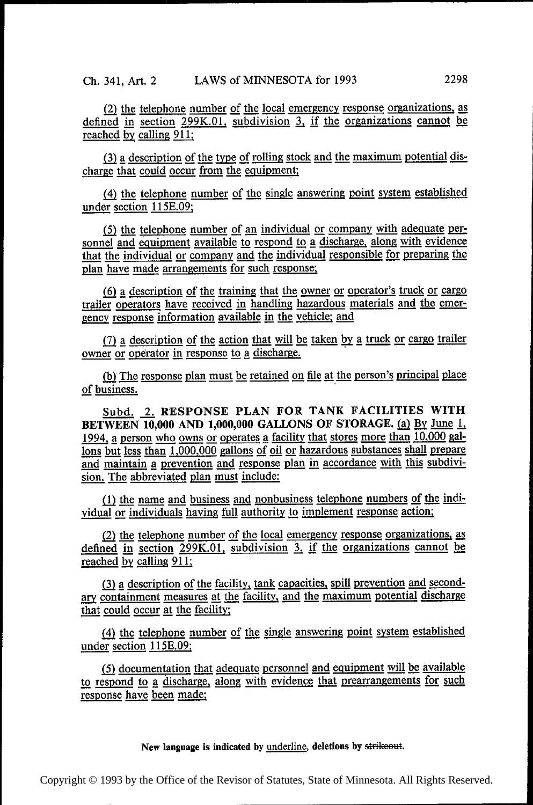(2) the telephone number of the local emergency response organizations, as defined in section 299K.01, subdivision 3, if the organizations cannot be reached by calling 911;

 $(3)$  a description of the type of rolling stock and the maximum potential discharge that could occur from the equipment;

(4) the telephone number of the single answering point system established under section 115E.09;

 $(5)$  the telephone number of an individual or company with adequate personnel and equipment available to respond to a discharge, along with evidence that the individual or company and the individual responsible for preparing the plan have made arrangements for such response;

(6) a description of the training that the owner or operator's truck or cargo trailer operators have received in handling hazardous materials and the emergency response information available in the vehicle; and

(7) a description of the action that will be taken by a truck or cargo trailer owner or operator in response to a discharge. '

(b) The response plan must be retained on file at the person's principal place of business.

Subd. 2. RESPONSE PLAN FOR TANK FACILITIES WITH<br>BETWEEN 10,000 AND 1,000,000 GALLONS OF STORAGE. (a) By June 1, 1994, a person who owns or operates a facility that stores more than 10,000 gal-**1994, a person who owns or operates a facility that stores more than 10,000 gal-<br>1994, a person who owns or operates a facility that stores more than 10,000 gal-<br>1998 but less than 1,000,000 gallons of oil or hazardous s** and maintain a prevention and response plan in accordance with this subdivision. The abbreviated plan must include:

(1) the name and business and nonbusiness telephone numbers of the individual or individuals having full authority to implement response action;

 $\frac{1}{2}$  the telephone number of the local emergency response organizations, as defined in section 299K.01, subdivision 3, if the organizations cannot be recorded by calling  $911$ . reached by calling 911;

(3) a description of the facility, tank capacities, spill prevention and secondary containment measures at the facility, and the maximum potential discharge that could occur at the facility;

(4) the telephone number of the single answering point system established under section 115E.09;

(5) documentation that adequate personnel and equipment will be available to respond to a discharge, along with evidence that prearrangements for such response have been made;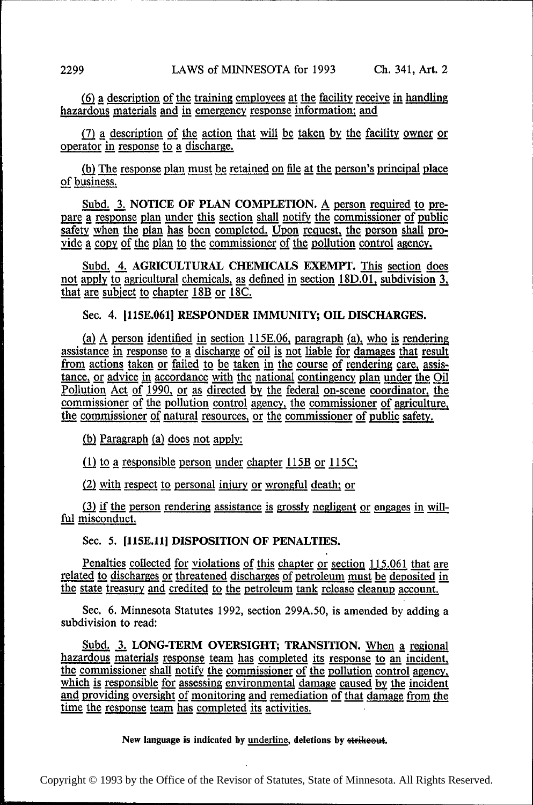$(6)$  a description of the training employees at the facility receive in handling hazardous materials and in emergency response information; and

 $(7)$  a description of the action that will be taken by the facility owner or operator in response to a discharge.

(b) The response plan must be retained on file at the person's principal place of business.

Subd. 3. NOTICE OF PLAN COMPLETION.  $\triangle$  person required to pre-<br>pare a response plan under this section shall notify the commissioner of public pare a response plan under this section shall notify the commissioner of public safety when the plan has been completed. Upon request, the person shall provide a copy of the plan to the commissioner of the pollution control agency.

Subd. 4. AGRICULTURAL CHEMICALS EXEMPT. This section does not apply to agricultural chemicals, as defined in section 18D.01, subdivision 3, that are subject to chapter 18B or 18C.

## Sec. 4. [115E.061] RESPONDER IMMUNITY; OIL DISCHARGES.

(a) A person identified in section  $115E.06$ , paragraph (a), who is rendering assistance in response to a discharge of oil is not liable for damages that result from actions taken or failed to be taken in the course of rendering care, assistance, or advice in accordance with the national contingency plan under the Oil Pollution Act of 1990, or as directed by the federal on-scene coordinator, the  $c$  commissioner of the pollution control agency, the commissioner of agriculture, the commissioner of natural resources, or the commissioner of public safety.

(b) Paragraph (a) does not apply:

 $(1)$  to a responsible person under chapter 115B or 115C;

 $(2)$  with respect to personal injury or wrongful death; or

(3) if the person rendering assistance is grossly negligent or engages in will- ful misconduct.

Sec. 5. [115E.11] DISPOSITION OF PENALTIES.

Penalties collected for violations of this chapter or section 115.061 that are related to discharges or threatened discharges of petroleum must be deposited in the state treasury and credited to the petroleum tank release cleanup account.

Sec. 6. Minnesota Statutes 1992, section 299A.50, is amended by adding a subdivision to read:

Subd. 3. LONG-TERM OVERSIGHT; TRANSITION. When a regional hazardous materials response team has completed its response to an incident.  $\frac{1}{2}$  and  $\frac{1}{2}$  and  $\frac{1}{2}$  corrected its response team as completed its response to an incident, the commissioner shall notify the commissioner of the pollution control agency.  $\frac{1}{10}$  commissioner shall notify the commissioner of the pollution control agency, which is responsible for assessing environmental damage caused by the incident which is responsible for assessing environmental damage caused by the incident and providing oversight of monitoring and remediation of that damage from the time the response team has completed its activities.